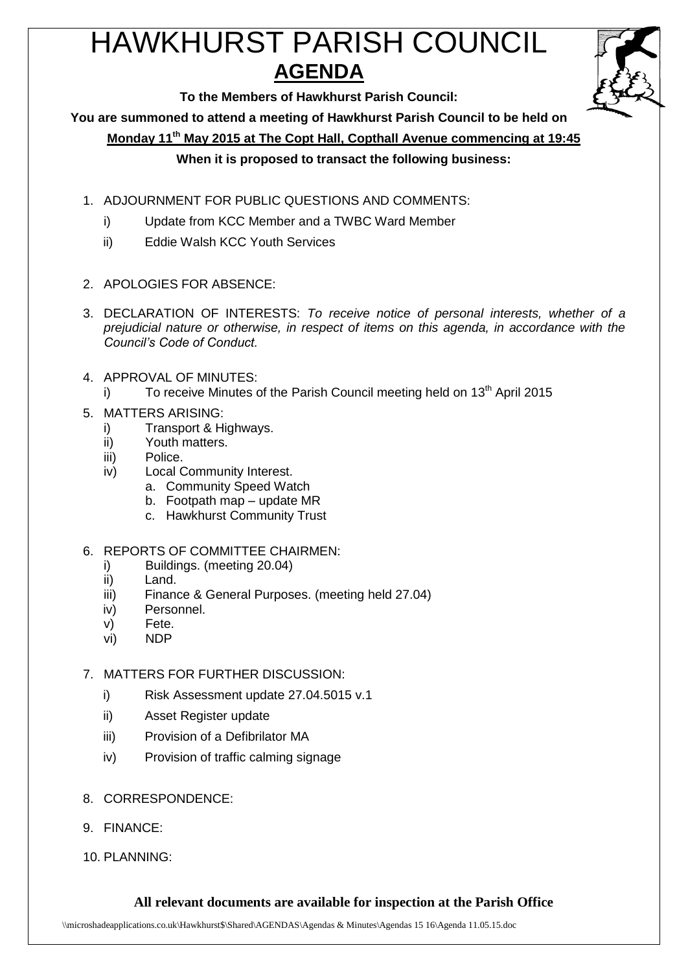# HAWKHURST PARISH COUNCIL **AGENDA**



**To the Members of Hawkhurst Parish Council:**

**You are summoned to attend a meeting of Hawkhurst Parish Council to be held on**

**Monday 11th May 2015 at The Copt Hall, Copthall Avenue commencing at 19:45**

# **When it is proposed to transact the following business:**

- 1. ADJOURNMENT FOR PUBLIC QUESTIONS AND COMMENTS:
	- i) Update from KCC Member and a TWBC Ward Member
	- ii) Eddie Walsh KCC Youth Services
- 2. APOLOGIES FOR ABSENCE:
- 3. DECLARATION OF INTERESTS: *To receive notice of personal interests, whether of a prejudicial nature or otherwise, in respect of items on this agenda, in accordance with the Council's Code of Conduct.*
- 4. APPROVAL OF MINUTES:
	- i) To receive Minutes of the Parish Council meeting held on  $13<sup>th</sup>$  April 2015
- 5. MATTERS ARISING:
	- i) Transport & Highways.
	- ii) Youth matters.
	- iii) Police.
	- iv) Local Community Interest.
		- a. Community Speed Watch
		- b. Footpath map update MR
		- c. Hawkhurst Community Trust
- 6. REPORTS OF COMMITTEE CHAIRMEN:
	- i) Buildings. (meeting 20.04)
	- ii) Land.
	- iii) Finance & General Purposes. (meeting held 27.04)
	- iv) Personnel.
	- v) Fete.
	- vi) NDP
- 7. MATTERS FOR FURTHER DISCUSSION:
	- i) Risk Assessment update 27.04.5015 v.1
	- ii) Asset Register update
	- iii) Provision of a Defibrilator MA
	- iv) Provision of traffic calming signage
- 8. CORRESPONDENCE:
- 9. FINANCE:
- 10. PLANNING:

# **All relevant documents are available for inspection at the Parish Office**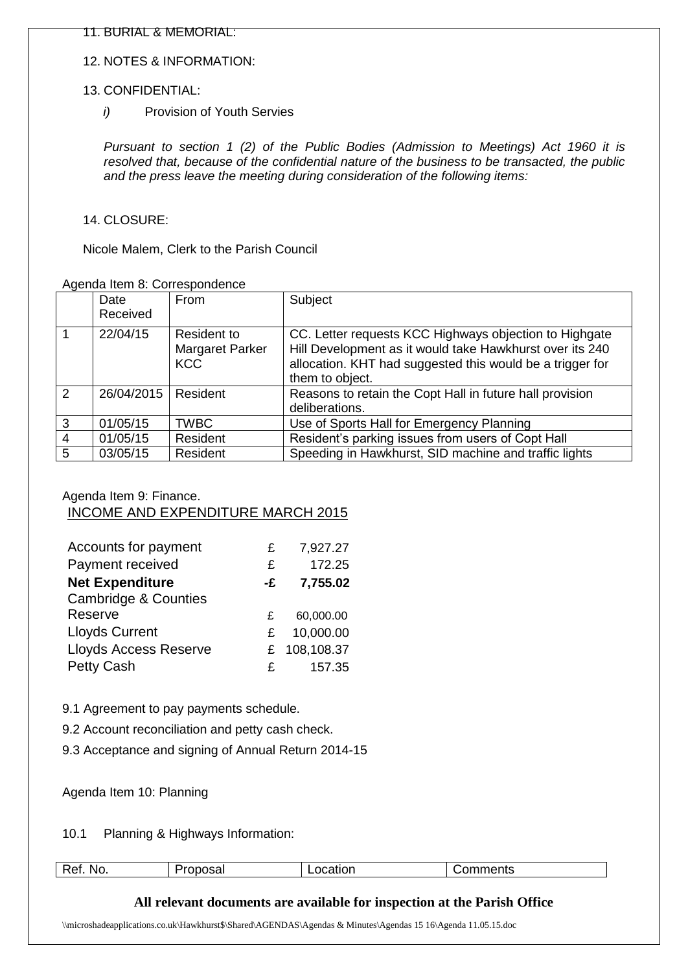11. BURIAL & MEMORIAL:

### 12. NOTES & INFORMATION:

### 13. CONFIDENTIAL:

*i*) Provision of Youth Servies

*Pursuant to section 1 (2) of the Public Bodies (Admission to Meetings) Act 1960 it is resolved that, because of the confidential nature of the business to be transacted, the public and the press leave the meeting during consideration of the following items:*

## 14. CLOSURE:

Nicole Malem, Clerk to the Parish Council

#### Agenda Item 8: Correspondence

|                | Date<br>Received | From                                         | Subject                                                                                                                                                                                            |
|----------------|------------------|----------------------------------------------|----------------------------------------------------------------------------------------------------------------------------------------------------------------------------------------------------|
|                | 22/04/15         | Resident to<br>Margaret Parker<br><b>KCC</b> | CC. Letter requests KCC Highways objection to Highgate<br>Hill Development as it would take Hawkhurst over its 240<br>allocation. KHT had suggested this would be a trigger for<br>them to object. |
| 2              | 26/04/2015       | Resident                                     | Reasons to retain the Copt Hall in future hall provision<br>deliberations.                                                                                                                         |
| $\mathbf{3}$   | 01/05/15         | <b>TWBC</b>                                  | Use of Sports Hall for Emergency Planning                                                                                                                                                          |
| $\overline{4}$ | 01/05/15         | Resident                                     | Resident's parking issues from users of Copt Hall                                                                                                                                                  |
| 5              | 03/05/15         | Resident                                     | Speeding in Hawkhurst, SID machine and traffic lights                                                                                                                                              |

#### Agenda Item 9: Finance.

## INCOME AND EXPENDITURE MARCH 2015

| Accounts for payment            | £  | 7,927.27   |
|---------------------------------|----|------------|
| Payment received                | £  | 172.25     |
| <b>Net Expenditure</b>          | -£ | 7,755.02   |
| <b>Cambridge &amp; Counties</b> |    |            |
| Reserve                         | £  | 60,000.00  |
| <b>Lloyds Current</b>           | £  | 10,000.00  |
| <b>Lloyds Access Reserve</b>    | £  | 108,108.37 |
| <b>Petty Cash</b>               | £  | 157.35     |

9.1 Agreement to pay payments schedule.

- 9.2 Account reconciliation and petty cash check.
- 9.3 Acceptance and signing of Annual Return 2014-15

## Agenda Item 10: Planning

10.1 Planning & Highways Information:

| -<br>NO.<br>$\cdots$ | ___ | .<br>_______ | ------<br>.<br>भाष्ट<br>∸ו |
|----------------------|-----|--------------|----------------------------|
|                      |     |              |                            |

# **All relevant documents are available for inspection at the Parish Office**

\\microshadeapplications.co.uk\Hawkhurst\$\Shared\AGENDAS\Agendas & Minutes\Agendas 15 16\Agenda 11.05.15.doc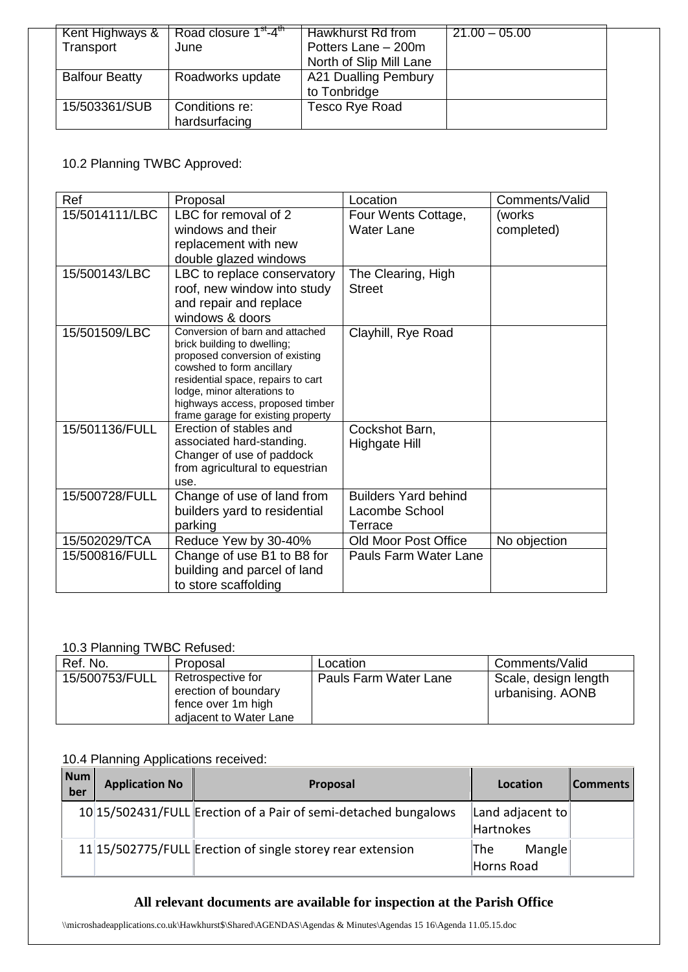| Kent Highways &       | Road closure 1 <sup>st</sup> -4 <sup>th</sup> | Hawkhurst Rd from       | $21.00 - 05.00$ |
|-----------------------|-----------------------------------------------|-------------------------|-----------------|
| Transport             | June                                          | Potters Lane - 200m     |                 |
|                       |                                               | North of Slip Mill Lane |                 |
| <b>Balfour Beatty</b> | Roadworks update                              | A21 Dualling Pembury    |                 |
|                       |                                               | to Tonbridge            |                 |
| 15/503361/SUB         | Conditions re:                                | Tesco Rye Road          |                 |
|                       | hardsurfacing                                 |                         |                 |

## 10.2 Planning TWBC Approved:

| Ref            | Proposal                                                                                                                                                                                                                                                                      | Location                                                 | Comments/Valid       |
|----------------|-------------------------------------------------------------------------------------------------------------------------------------------------------------------------------------------------------------------------------------------------------------------------------|----------------------------------------------------------|----------------------|
| 15/5014111/LBC | LBC for removal of 2<br>windows and their<br>replacement with new<br>double glazed windows                                                                                                                                                                                    | Four Wents Cottage,<br><b>Water Lane</b>                 | (works<br>completed) |
| 15/500143/LBC  | LBC to replace conservatory<br>roof, new window into study<br>and repair and replace<br>windows & doors                                                                                                                                                                       | The Clearing, High<br><b>Street</b>                      |                      |
| 15/501509/LBC  | Conversion of barn and attached<br>brick building to dwelling;<br>proposed conversion of existing<br>cowshed to form ancillary<br>residential space, repairs to cart<br>lodge, minor alterations to<br>highways access, proposed timber<br>frame garage for existing property | Clayhill, Rye Road                                       |                      |
| 15/501136/FULL | Erection of stables and<br>associated hard-standing.<br>Changer of use of paddock<br>from agricultural to equestrian<br>use.                                                                                                                                                  | Cockshot Barn,<br>Highgate Hill                          |                      |
| 15/500728/FULL | Change of use of land from<br>builders yard to residential<br>parking                                                                                                                                                                                                         | <b>Builders Yard behind</b><br>Lacombe School<br>Terrace |                      |
| 15/502029/TCA  | Reduce Yew by 30-40%                                                                                                                                                                                                                                                          | <b>Old Moor Post Office</b>                              | No objection         |
| 15/500816/FULL | Change of use B1 to B8 for<br>building and parcel of land<br>to store scaffolding                                                                                                                                                                                             | Pauls Farm Water Lane                                    |                      |

## 10.3 Planning TWBC Refused:

| Ref. No.       | Proposal                                                                                  | Location              | Comments/Valid                           |
|----------------|-------------------------------------------------------------------------------------------|-----------------------|------------------------------------------|
| 15/500753/FULL | Retrospective for<br>erection of boundary<br>fence over 1m high<br>adjacent to Water Lane | Pauls Farm Water Lane | Scale, design length<br>urbanising. AONB |

# 10.4 Planning Applications received:

| Num<br>ber | <b>Application No</b> | Proposal                                                        | Location                      | Comments |
|------------|-----------------------|-----------------------------------------------------------------|-------------------------------|----------|
|            |                       | 10 15/502431/FULL Erection of a Pair of semi-detached bungalows | Land adjacent to<br>Hartnokes |          |
|            |                       | 11 15/502775/FULL Erection of single storey rear extension      | Mangle<br>The<br>Horns Road   |          |

# **All relevant documents are available for inspection at the Parish Office**

\\microshadeapplications.co.uk\Hawkhurst\$\Shared\AGENDAS\Agendas & Minutes\Agendas 15 16\Agenda 11.05.15.doc